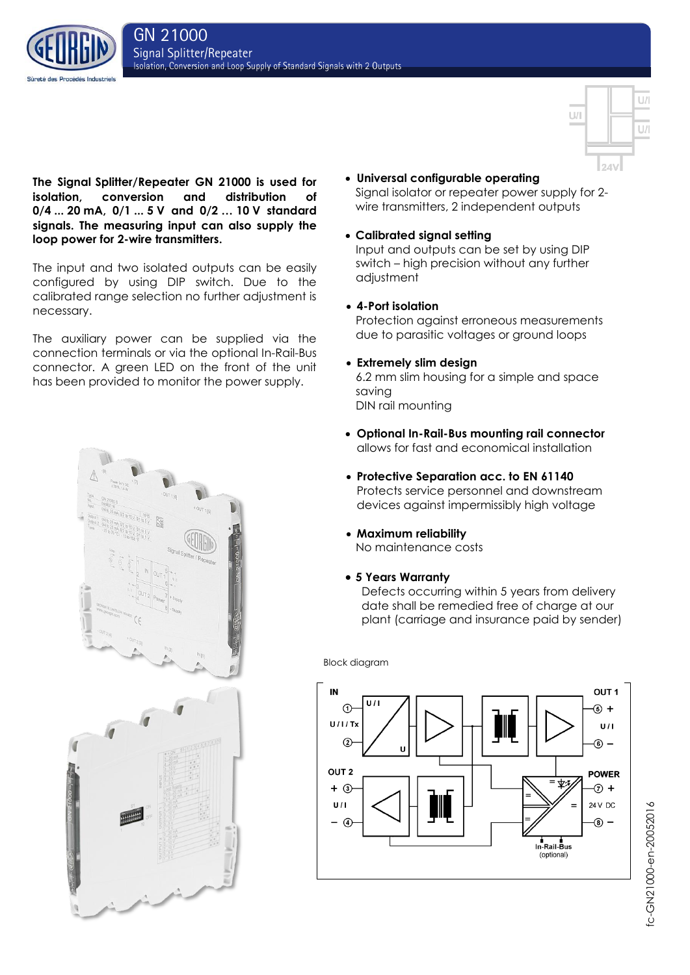



# **The Signal Splitter/Repeater GN 21000 is used for isolation, conversion and distribution of 0/4 ... 20 mA, 0/1 ... 5 V and 0/2 … 10 V standard signals. The measuring input can also supply the loop power for 2-wire transmitters.**

The input and two isolated outputs can be easily configured by using DIP switch. Due to the calibrated range selection no further adjustment is necessary.

The auxiliary power can be supplied via the connection terminals or via the optional In-Rail-Bus connector. A green LED on the front of the unit has been provided to monitor the power supply.



- **Universal configurable operating** Signal isolator or repeater power supply for 2 wire transmitters, 2 independent outputs
- **Calibrated signal setting**

Input and outputs can be set by using DIP switch – high precision without any further adjustment

**4-Port isolation**

Protection against erroneous measurements due to parasitic voltages or ground loops

**Extremely slim design**

6.2 mm slim housing for a simple and space saving DIN rail mounting

- **Optional In-Rail-Bus mounting rail connector** allows for fast and economical installation
- **Protective Separation acc. to EN 61140** Protects service personnel and downstream devices against impermissibly high voltage
- **Maximum reliability** No maintenance costs
- **5 Years Warranty**

Defects occurring within 5 years from delivery date shall be remedied free of charge at our plant (carriage and insurance paid by sender)

Block diagram



ic-GN21000-en-20052016 fc-GN21000-en-20052016